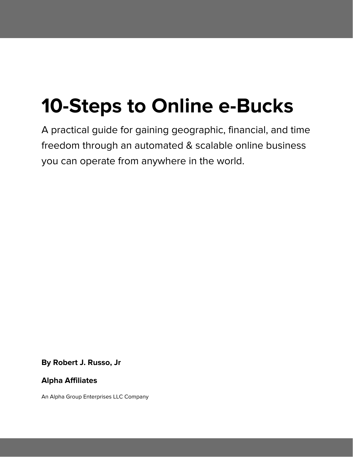# **10-Steps to Online e-Bucks**

A practical guide for gaining geographic, financial, and time freedom through an automated & scalable online business you can operate from anywhere in the world.

**By Robert J. Russo, Jr**

# **Alpha Affiliates**

An Alpha Group Enterprises LLC Company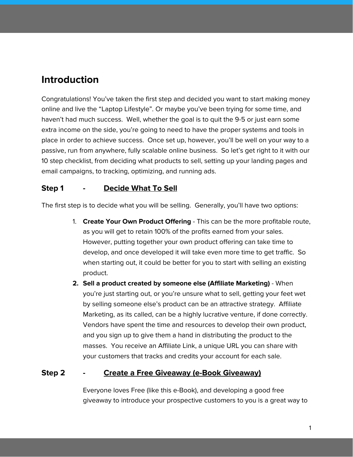# **Introduction**

Congratulations! You've taken the first step and decided you want to start making money online and live the "Laptop Lifestyle". Or maybe you've been trying for some time, and haven't had much success. Well, whether the goal is to quit the 9-5 or just earn some extra income on the side, you're going to need to have the proper systems and tools in place in order to achieve success. Once set up, however, you'll be well on your way to a passive, run from anywhere, fully scalable online business. So let's get right to it with our 10 step checklist, from deciding what products to sell, setting up your landing pages and email campaigns, to tracking, optimizing, and running ads.

# **Step 1 - Decide What To Sell**

The first step is to decide what you will be selling. Generally, you'll have two options:

- 1. **Create Your Own Product Offering** This can be the more profitable route, as you will get to retain 100% of the profits earned from your sales. However, putting together your own product offering can take time to develop, and once developed it will take even more time to get traffic. So when starting out, it could be better for you to start with selling an existing product.
- **2. Sell a product created by someone else (Affiliate Marketing)** When you're just starting out, or you're unsure what to sell, getting your feet wet by selling someone else's product can be an attractive strategy. Affiliate Marketing, as its called, can be a highly lucrative venture, if done correctly. Vendors have spent the time and resources to develop their own product, and you sign up to give them a hand in distributing the product to the masses. You receive an Affiliate Link, a unique URL you can share with your customers that tracks and credits your account for each sale.

#### **Step 2 - Create a Free Giveaway (e-Book Giveaway)**

Everyone loves Free (like this e-Book), and developing a good free giveaway to introduce your prospective customers to you is a great way to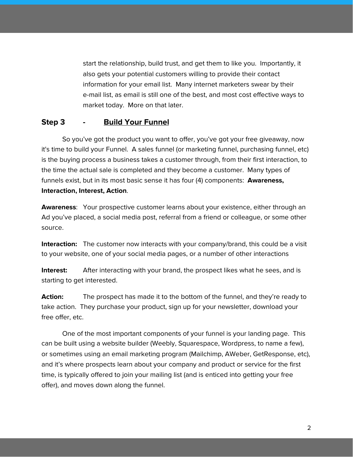start the relationship, build trust, and get them to like you. Importantly, it also gets your potential customers willing to provide their contact information for your email list. Many internet marketers swear by their e-mail list, as email is still one of the best, and most cost effective ways to market today. More on that later.

#### **Step 3 - Build Your Funnel**

So you've got the product you want to offer, you've got your free giveaway, now it's time to build your Funnel. A sales funnel (or marketing funnel, purchasing funnel, etc) is the buying process a business takes a customer through, from their first interaction, to the time the actual sale is completed and they become a customer. Many types of funnels exist, but in its most basic sense it has four (4) components: **Awareness, Interaction, Interest, Action**.

**Awareness**: Your prospective customer learns about your existence, either through an Ad you've placed, a social media post, referral from a friend or colleague, or some other source.

**Interaction:** The customer now interacts with your company/brand, this could be a visit to your website, one of your social media pages, or a number of other interactions

**Interest:** After interacting with your brand, the prospect likes what he sees, and is starting to get interested.

**Action:** The prospect has made it to the bottom of the funnel, and they're ready to take action. They purchase your product, sign up for your newsletter, download your free offer, etc.

One of the most important components of your funnel is your landing page. This can be built using a website builder (Weebly, Squarespace, Wordpress, to name a few), or sometimes using an email marketing program (Mailchimp, AWeber, GetResponse, etc), and it's where prospects learn about your company and product or service for the first time, is typically offered to join your mailing list (and is enticed into getting your free offer), and moves down along the funnel.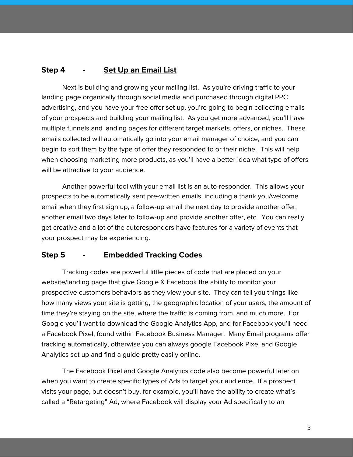### **Step 4 - Set Up an Email List**

Next is building and growing your mailing list. As you're driving traffic to your landing page organically through social media and purchased through digital PPC advertising, and you have your free offer set up, you're going to begin collecting emails of your prospects and building your mailing list. As you get more advanced, you'll have multiple funnels and landing pages for different target markets, offers, or niches. These emails collected will automatically go into your email manager of choice, and you can begin to sort them by the type of offer they responded to or their niche. This will help when choosing marketing more products, as you'll have a better idea what type of offers will be attractive to your audience.

Another powerful tool with your email list is an auto-responder. This allows your prospects to be automatically sent pre-written emails, including a thank you/welcome email when they first sign up, a follow-up email the next day to provide another offer, another email two days later to follow-up and provide another offer, etc. You can really get creative and a lot of the autoresponders have features for a variety of events that your prospect may be experiencing.

#### **Step 5 - Embedded Tracking Codes**

Tracking codes are powerful little pieces of code that are placed on your website/landing page that give Google & Facebook the ability to monitor your prospective customers behaviors as they view your site. They can tell you things like how many views your site is getting, the geographic location of your users, the amount of time they're staying on the site, where the traffic is coming from, and much more. For Google you'll want to download the Google Analytics App, and for Facebook you'll need a Facebook Pixel, found within Facebook Business Manager. Many Email programs offer tracking automatically, otherwise you can always google Facebook Pixel and Google Analytics set up and find a guide pretty easily online.

The Facebook Pixel and Google Analytics code also become powerful later on when you want to create specific types of Ads to target your audience. If a prospect visits your page, but doesn't buy, for example, you'll have the ability to create what's called a "Retargeting" Ad, where Facebook will display your Ad specifically to an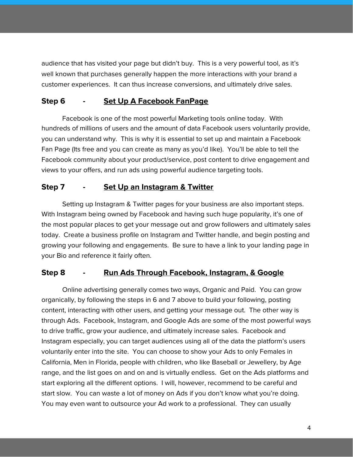audience that has visited your page but didn't buy. This is a very powerful tool, as it's well known that purchases generally happen the more interactions with your brand a customer experiences. It can thus increase conversions, and ultimately drive sales.

#### **Step 6 - Set Up A Facebook FanPage**

Facebook is one of the most powerful Marketing tools online today. With hundreds of millions of users and the amount of data Facebook users voluntarily provide, you can understand why. This is why it is essential to set up and maintain a Facebook Fan Page (Its free and you can create as many as you'd like). You'll be able to tell the Facebook community about your product/service, post content to drive engagement and views to your offers, and run ads using powerful audience targeting tools.

# **Step 7 - Set Up an Instagram & Twitter**

Setting up Instagram & Twitter pages for your business are also important steps. With Instagram being owned by Facebook and having such huge popularity, it's one of the most popular places to get your message out and grow followers and ultimately sales today. Create a business profile on Instagram and Twitter handle, and begin posting and growing your following and engagements. Be sure to have a link to your landing page in your Bio and reference it fairly often.

#### **Step 8 - Run Ads Through Facebook, Instagram, & Google**

Online advertising generally comes two ways, Organic and Paid. You can grow organically, by following the steps in 6 and 7 above to build your following, posting content, interacting with other users, and getting your message out. The other way is through Ads. Facebook, Instagram, and Google Ads are some of the most powerful ways to drive traffic, grow your audience, and ultimately increase sales. Facebook and Instagram especially, you can target audiences using all of the data the platform's users voluntarily enter into the site. You can choose to show your Ads to only Females in California, Men in Florida, people with children, who like Baseball or Jewellery, by Age range, and the list goes on and on and is virtually endless. Get on the Ads platforms and start exploring all the different options. I will, however, recommend to be careful and start slow. You can waste a lot of money on Ads if you don't know what you're doing. You may even want to outsource your Ad work to a professional. They can usually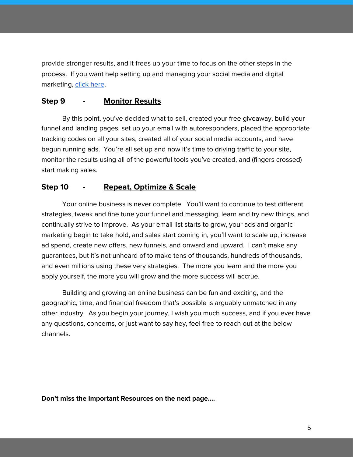provide stronger results, and it frees up your time to focus on the other steps in the process. If you want help setting up and managing your social media and digital marketing, click [here](http://www.alphagroup.enterprises/alphadigitalmarketing).

#### **Step 9 - Monitor Results**

By this point, you've decided what to sell, created your free giveaway, build your funnel and landing pages, set up your email with autoresponders, placed the appropriate tracking codes on all your sites, created all of your social media accounts, and have begun running ads. You're all set up and now it's time to driving traffic to your site, monitor the results using all of the powerful tools you've created, and (fingers crossed) start making sales.

#### **Step 10 - Repeat, Optimize & Scale**

Your online business is never complete. You'll want to continue to test different strategies, tweak and fine tune your funnel and messaging, learn and try new things, and continually strive to improve. As your email list starts to grow, your ads and organic marketing begin to take hold, and sales start coming in, you'll want to scale up, increase ad spend, create new offers, new funnels, and onward and upward. I can't make any guarantees, but it's not unheard of to make tens of thousands, hundreds of thousands, and even millions using these very strategies. The more you learn and the more you apply yourself, the more you will grow and the more success will accrue.

Building and growing an online business can be fun and exciting, and the geographic, time, and financial freedom that's possible is arguably unmatched in any other industry. As you begin your journey, I wish you much success, and if you ever have any questions, concerns, or just want to say hey, feel free to reach out at the below channels.

**Don't miss the Important Resources on the next page….**